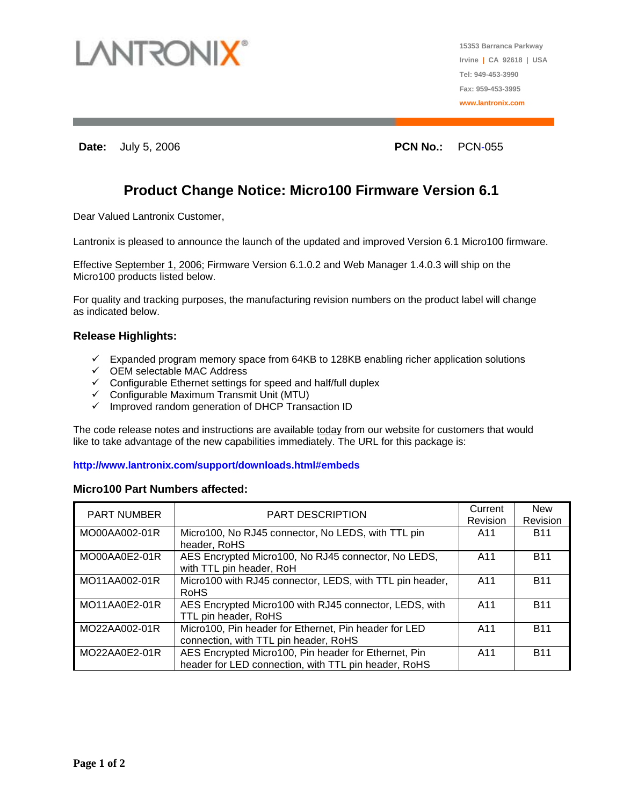

**Date: July 5, 2006 PCN No.:** PCN No.: **PCN-055** 

# **Product Change Notice: Micro100 Firmware Version 6.1**

Dear Valued Lantronix Customer,

Lantronix is pleased to announce the launch of the updated and improved Version 6.1 Micro100 firmware.

Effective September 1, 2006; Firmware Version 6.1.0.2 and Web Manager 1.4.0.3 will ship on the Micro100 products listed below.

For quality and tracking purposes, the manufacturing revision numbers on the product label will change as indicated below.

# **Release Highlights:**

- $\checkmark$  Expanded program memory space from 64KB to 128KB enabling richer application solutions
- $\checkmark$  OEM selectable MAC Address
- $\checkmark$  Configurable Ethernet settings for speed and half/full duplex
- $\checkmark$  Configurable Maximum Transmit Unit (MTU)
- $\checkmark$  Improved random generation of DHCP Transaction ID

The code release notes and instructions are available today from our website for customers that would like to take advantage of the new capabilities immediately. The URL for this package is:

### **http://www.lantronix.com/support/downloads.html#embeds**

#### **Micro100 Part Numbers affected:**

| <b>PART NUMBER</b> | <b>PART DESCRIPTION</b>                                                                                      | Current<br>Revision | <b>New</b><br>Revision |
|--------------------|--------------------------------------------------------------------------------------------------------------|---------------------|------------------------|
| MO00AA002-01R      | Micro100, No RJ45 connector, No LEDS, with TTL pin<br>header, RoHS                                           | A11                 | <b>B11</b>             |
| MO00AA0E2-01R      | AES Encrypted Micro100, No RJ45 connector, No LEDS,<br>with TTL pin header, RoH                              | A11                 | <b>B11</b>             |
| MO11AA002-01R      | Micro100 with RJ45 connector, LEDS, with TTL pin header,<br>RoHS                                             | A11                 | <b>B11</b>             |
| MO11AA0E2-01R      | AES Encrypted Micro100 with RJ45 connector, LEDS, with<br>TTL pin header, RoHS                               | A11                 | <b>B11</b>             |
| MO22AA002-01R      | Micro100, Pin header for Ethernet, Pin header for LED<br>connection, with TTL pin header, RoHS               | A11                 | <b>B11</b>             |
| MO22AA0E2-01R      | AES Encrypted Micro100, Pin header for Ethernet, Pin<br>header for LED connection, with TTL pin header, RoHS | A11                 | <b>B11</b>             |